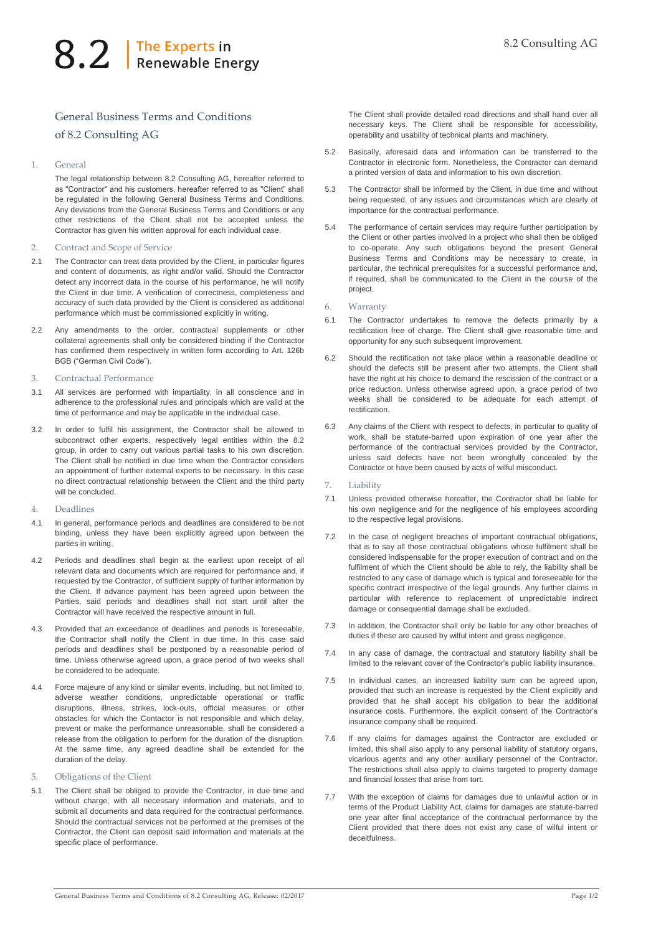## 8.2 | The Experts in

## General Business Terms and Conditions of 8.2 Consulting AG

1. General

The legal relationship between 8.2 Consulting AG, hereafter referred to as "Contractor" and his customers, hereafter referred to as "Client" shall be regulated in the following General Business Terms and Conditions. Any deviations from the General Business Terms and Conditions or any other restrictions of the Client shall not be accepted unless the Contractor has given his written approval for each individual case.

- 2. Contract and Scope of Service
- 2.1 The Contractor can treat data provided by the Client, in particular figures and content of documents, as right and/or valid. Should the Contractor detect any incorrect data in the course of his performance, he will notify the Client in due time. A verification of correctness, completeness and accuracy of such data provided by the Client is considered as additional performance which must be commissioned explicitly in writing.
- 2.2 Any amendments to the order, contractual supplements or other collateral agreements shall only be considered binding if the Contractor has confirmed them respectively in written form according to Art. 126b BGB ("German Civil Code").
- 3. Contractual Performance
- 3.1 All services are performed with impartiality, in all conscience and in adherence to the professional rules and principals which are valid at the time of performance and may be applicable in the individual case.
- 3.2 In order to fulfil his assignment, the Contractor shall be allowed to subcontract other experts, respectively legal entities within the 8.2 group, in order to carry out various partial tasks to his own discretion. The Client shall be notified in due time when the Contractor considers an appointment of further external experts to be necessary. In this case no direct contractual relationship between the Client and the third party will be concluded
- 4. Deadlines
- 4.1 In general, performance periods and deadlines are considered to be not binding, unless they have been explicitly agreed upon between the parties in writing.
- 4.2 Periods and deadlines shall begin at the earliest upon receipt of all relevant data and documents which are required for performance and, if requested by the Contractor, of sufficient supply of further information by the Client. If advance payment has been agreed upon between the Parties, said periods and deadlines shall not start until after the Contractor will have received the respective amount in full.
- 4.3 Provided that an exceedance of deadlines and periods is foreseeable, the Contractor shall notify the Client in due time. In this case said periods and deadlines shall be postponed by a reasonable period of time. Unless otherwise agreed upon, a grace period of two weeks shall be considered to be adequate.
- 4.4 Force majeure of any kind or similar events, including, but not limited to, adverse weather conditions, unpredictable operational or traffic disruptions, illness, strikes, lock-outs, official measures or other obstacles for which the Contactor is not responsible and which delay, prevent or make the performance unreasonable, shall be considered a release from the obligation to perform for the duration of the disruption. At the same time, any agreed deadline shall be extended for the duration of the delay.
- 5. Obligations of the Client
- 5.1 The Client shall be obliged to provide the Contractor, in due time and without charge, with all necessary information and materials, and to submit all documents and data required for the contractual performance. Should the contractual services not be performed at the premises of the Contractor, the Client can deposit said information and materials at the specific place of performance.

The Client shall provide detailed road directions and shall hand over all necessary keys. The Client shall be responsible for accessibility, operability and usability of technical plants and machinery.

- 5.2 Basically, aforesaid data and information can be transferred to the Contractor in electronic form. Nonetheless, the Contractor can demand a printed version of data and information to his own discretion.
- 5.3 The Contractor shall be informed by the Client, in due time and without being requested, of any issues and circumstances which are clearly of importance for the contractual performance.
- 5.4 The performance of certain services may require further participation by the Client or other parties involved in a project who shall then be obliged to co-operate. Any such obligations beyond the present General Business Terms and Conditions may be necessary to create, in particular, the technical prerequisites for a successful performance and, if required, shall be communicated to the Client in the course of the project.
- 6. Warranty
- 6.1 The Contractor undertakes to remove the defects primarily by a rectification free of charge. The Client shall give reasonable time and opportunity for any such subsequent improvement.
- 6.2 Should the rectification not take place within a reasonable deadline or should the defects still be present after two attempts, the Client shall have the right at his choice to demand the rescission of the contract or a price reduction. Unless otherwise agreed upon, a grace period of two weeks shall be considered to be adequate for each attempt of rectification.
- 6.3 Any claims of the Client with respect to defects, in particular to quality of work, shall be statute-barred upon expiration of one year after the performance of the contractual services provided by the Contractor, unless said defects have not been wrongfully concealed by the Contractor or have been caused by acts of wilful misconduct.
- Liability
- 7.1 Unless provided otherwise hereafter, the Contractor shall be liable for his own negligence and for the negligence of his employees according to the respective legal provisions.
- 7.2 In the case of negligent breaches of important contractual obligations, that is to say all those contractual obligations whose fulfilment shall be considered indispensable for the proper execution of contract and on the fulfilment of which the Client should be able to rely, the liability shall be restricted to any case of damage which is typical and foreseeable for the specific contract irrespective of the legal grounds. Any further claims in particular with reference to replacement of unpredictable indirect damage or consequential damage shall be excluded.
- 7.3 In addition, the Contractor shall only be liable for any other breaches of duties if these are caused by wilful intent and gross negligence.
- 7.4 In any case of damage, the contractual and statutory liability shall be limited to the relevant cover of the Contractor's public liability insurance.
- 7.5 In individual cases, an increased liability sum can be agreed upon, provided that such an increase is requested by the Client explicitly and provided that he shall accept his obligation to bear the additional insurance costs. Furthermore, the explicit consent of the Contractor's insurance company shall be required.
- 7.6 If any claims for damages against the Contractor are excluded or limited, this shall also apply to any personal liability of statutory organs, vicarious agents and any other auxiliary personnel of the Contractor. The restrictions shall also apply to claims targeted to property damage and financial losses that arise from tort.
- With the exception of claims for damages due to unlawful action or in terms of the Product Liability Act, claims for damages are statute-barred one year after final acceptance of the contractual performance by the Client provided that there does not exist any case of wilful intent or deceitfulness.